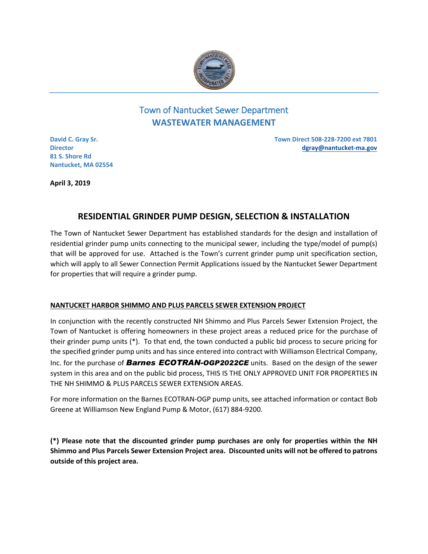

# Town of Nantucket Sewer Department **WASTEWATER MANAGEMENT**

**David C. Gray Sr. Director 81 S. Shore Rd Nantucket, MA 02554** **Town Direct 508-228-7200 ext 7801 dgray@nantucket-ma.gov** 

**April 3, 2019** 

# **RESIDENTIAL GRINDER PUMP DESIGN, SELECTION & INSTALLATION**

The Town of Nantucket Sewer Department has established standards for the design and installation of residential grinder pump units connecting to the municipal sewer, including the type/model of pump(s) that will be approved for use. Attached is the Town's current grinder pump unit specification section, which will apply to all Sewer Connection Permit Applications issued by the Nantucket Sewer Department for properties that will require a grinder pump.

## **NANTUCKET HARBOR SHIMMO AND PLUS PARCELS SEWER EXTENSION PROJECT**

In conjunction with the recently constructed NH Shimmo and Plus Parcels Sewer Extension Project, the Town of Nantucket is offering homeowners in these project areas a reduced price for the purchase of their grinder pump units (\*). To that end, the town conducted a public bid process to secure pricing for the specified grinder pump units and has since entered into contract with Williamson Electrical Company, Inc. for the purchase of *Barnes ECOTRAN-OGP2022CE* units. Based on the design of the sewer system in this area and on the public bid process, THIS IS THE ONLY APPROVED UNIT FOR PROPERTIES IN THE NH SHIMMO & PLUS PARCELS SEWER EXTENSION AREAS.

For more information on the Barnes ECOTRAN-OGP pump units, see attached information or contact Bob Greene at Williamson New England Pump & Motor, (617) 884-9200.

**(\*) Please note that the discounted grinder pump purchases are only for properties within the NH Shimmo and Plus Parcels Sewer Extension Project area. Discounted units will not be offered to patrons outside of this project area.**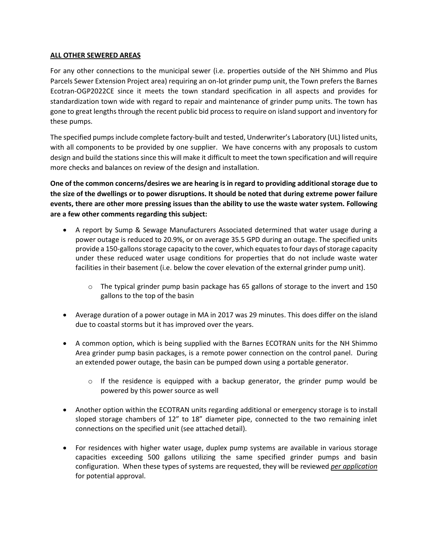#### **ALL OTHER SEWERED AREAS**

For any other connections to the municipal sewer (i.e. properties outside of the NH Shimmo and Plus Parcels Sewer Extension Project area) requiring an on-lot grinder pump unit, the Town prefers the Barnes Ecotran-OGP2022CE since it meets the town standard specification in all aspects and provides for standardization town wide with regard to repair and maintenance of grinder pump units. The town has gone to great lengths through the recent public bid process to require on island support and inventory for these pumps.

The specified pumps include complete factory-built and tested, Underwriter's Laboratory (UL) listed units, with all components to be provided by one supplier. We have concerns with any proposals to custom design and build the stations since this will make it difficult to meet the town specification and will require more checks and balances on review of the design and installation.

**One of the common concerns/desires we are hearing is in regard to providing additional storage due to the size of the dwellings or to power disruptions. It should be noted that during extreme power failure events, there are other more pressing issues than the ability to use the waste water system. Following are a few other comments regarding this subject:**

- A report by Sump & Sewage Manufacturers Associated determined that water usage during a power outage is reduced to 20.9%, or on average 35.5 GPD during an outage. The specified units provide a 150-gallons storage capacity to the cover, which equates to four days of storage capacity under these reduced water usage conditions for properties that do not include waste water facilities in their basement (i.e. below the cover elevation of the external grinder pump unit).
	- o The typical grinder pump basin package has 65 gallons of storage to the invert and 150 gallons to the top of the basin
- Average duration of a power outage in MA in 2017 was 29 minutes. This does differ on the island due to coastal storms but it has improved over the years.
- A common option, which is being supplied with the Barnes ECOTRAN units for the NH Shimmo Area grinder pump basin packages, is a remote power connection on the control panel. During an extended power outage, the basin can be pumped down using a portable generator.
	- o If the residence is equipped with a backup generator, the grinder pump would be powered by this power source as well
- Another option within the ECOTRAN units regarding additional or emergency storage is to install sloped storage chambers of 12" to 18" diameter pipe, connected to the two remaining inlet connections on the specified unit (see attached detail).
- For residences with higher water usage, duplex pump systems are available in various storage capacities exceeding 500 gallons utilizing the same specified grinder pumps and basin configuration. When these types of systems are requested, they will be reviewed *per application* for potential approval.